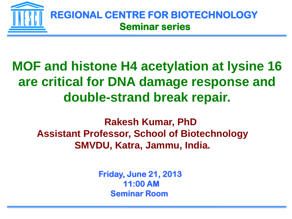

## **MOF and histone H4 acetylation at lysine 16 are critical for DNA damage response and double-strand break repair.**

 **Rakesh Kumar, PhD Assistant Professor, School of Biotechnology SMVDU, Katra, Jammu, India.**

> **Friday, June 21, 2013 11:00 AM Seminar Room**